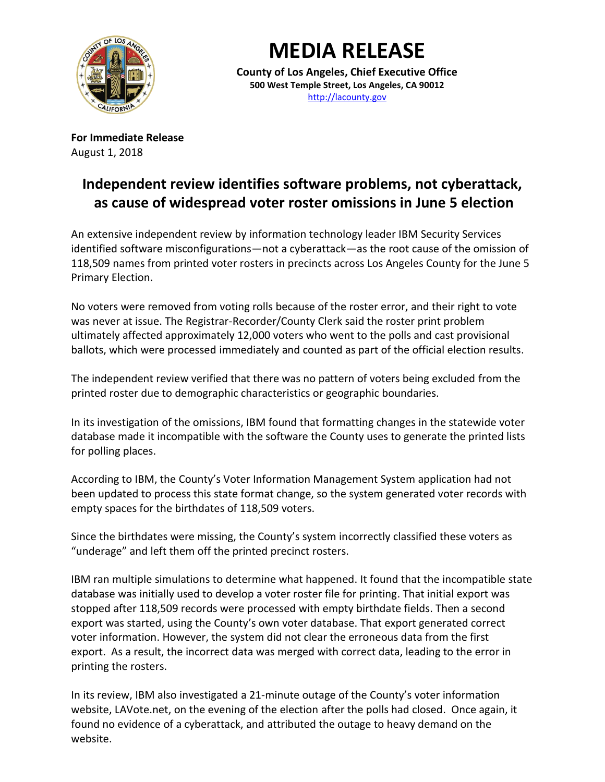

## **MEDIA RELEASE**

**County of Los Angeles, Chief Executive Office 500 West Temple Street, Los Angeles, CA 90012** [http://lacounty.gov](http://lacounty.gov/)

**For Immediate Release** August 1, 2018

## **Independent review identifies software problems, not cyberattack, as cause of widespread voter roster omissions in June 5 election**

An extensive independent review by information technology leader IBM Security Services identified software misconfigurations—not a cyberattack—as the root cause of the omission of 118,509 names from printed voter rosters in precincts across Los Angeles County for the June 5 Primary Election.

No voters were removed from voting rolls because of the roster error, and their right to vote was never at issue. The Registrar-Recorder/County Clerk said the roster print problem ultimately affected approximately 12,000 voters who went to the polls and cast provisional ballots, which were processed immediately and counted as part of the official election results.

The independent review verified that there was no pattern of voters being excluded from the printed roster due to demographic characteristics or geographic boundaries.

In its investigation of the omissions, IBM found that formatting changes in the statewide voter database made it incompatible with the software the County uses to generate the printed lists for polling places.

According to IBM, the County's Voter Information Management System application had not been updated to process this state format change, so the system generated voter records with empty spaces for the birthdates of 118,509 voters.

Since the birthdates were missing, the County's system incorrectly classified these voters as "underage" and left them off the printed precinct rosters.

IBM ran multiple simulations to determine what happened. It found that the incompatible state database was initially used to develop a voter roster file for printing. That initial export was stopped after 118,509 records were processed with empty birthdate fields. Then a second export was started, using the County's own voter database. That export generated correct voter information. However, the system did not clear the erroneous data from the first export. As a result, the incorrect data was merged with correct data, leading to the error in printing the rosters.

In its review, IBM also investigated a 21-minute outage of the County's voter information website, LAVote.net, on the evening of the election after the polls had closed. Once again, it found no evidence of a cyberattack, and attributed the outage to heavy demand on the website.